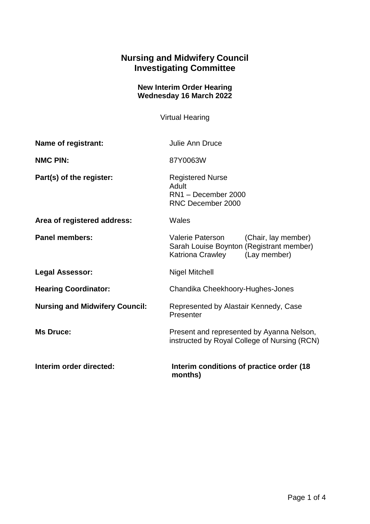## **Nursing and Midwifery Council Investigating Committee**

## **New Interim Order Hearing Wednesday 16 March 2022**

Virtual Hearing

| Name of registrant:                   | <b>Julie Ann Druce</b>                                                                                                  |
|---------------------------------------|-------------------------------------------------------------------------------------------------------------------------|
| <b>NMC PIN:</b>                       | 87Y0063W                                                                                                                |
| Part(s) of the register:              | <b>Registered Nurse</b><br>Adult<br>RN1 - December 2000<br>RNC December 2000                                            |
| Area of registered address:           | Wales                                                                                                                   |
| <b>Panel members:</b>                 | Valerie Paterson<br>(Chair, lay member)<br>Sarah Louise Boynton (Registrant member)<br>Katriona Crawley<br>(Lay member) |
| <b>Legal Assessor:</b>                | <b>Nigel Mitchell</b>                                                                                                   |
| <b>Hearing Coordinator:</b>           | Chandika Cheekhoory-Hughes-Jones                                                                                        |
| <b>Nursing and Midwifery Council:</b> | Represented by Alastair Kennedy, Case<br>Presenter                                                                      |
| <b>Ms Druce:</b>                      | Present and represented by Ayanna Nelson,<br>instructed by Royal College of Nursing (RCN)                               |
| Interim order directed:               | Interim conditions of practice order (18)<br>months)                                                                    |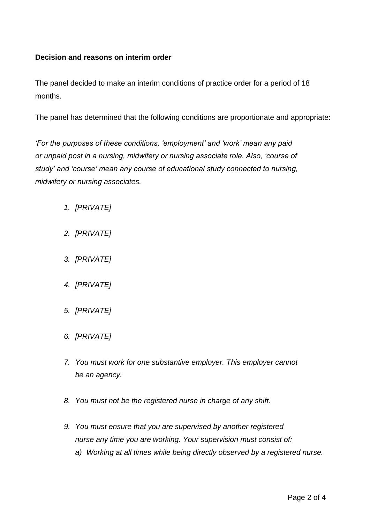## **Decision and reasons on interim order**

The panel decided to make an interim conditions of practice order for a period of 18 months.

The panel has determined that the following conditions are proportionate and appropriate:

*'For the purposes of these conditions, 'employment' and 'work' mean any paid or unpaid post in a nursing, midwifery or nursing associate role. Also, 'course of study' and 'course' mean any course of educational study connected to nursing, midwifery or nursing associates.*

- *1. [PRIVATE]*
- *2. [PRIVATE]*
- *3. [PRIVATE]*
- *4. [PRIVATE]*
- *5. [PRIVATE]*
- *6. [PRIVATE]*
- *7. You must work for one substantive employer. This employer cannot be an agency.*
- *8. You must not be the registered nurse in charge of any shift.*
- *9. You must ensure that you are supervised by another registered nurse any time you are working. Your supervision must consist of:*
	- *a) Working at all times while being directly observed by a registered nurse.*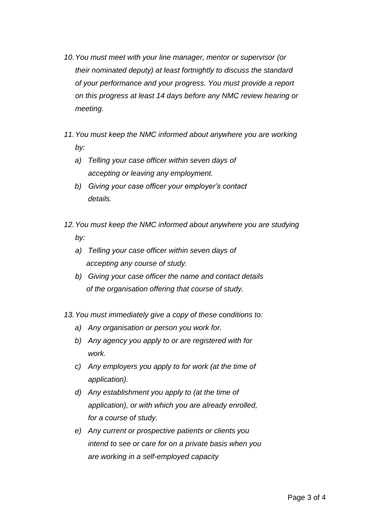- *10.You must meet with your line manager, mentor or supervisor (or their nominated deputy) at least fortnightly to discuss the standard of your performance and your progress. You must provide a report on this progress at least 14 days before any NMC review hearing or meeting.*
- *11.You must keep the NMC informed about anywhere you are working by:* 
	- *a) Telling your case officer within seven days of accepting or leaving any employment.*
	- *b) Giving your case officer your employer's contact details.*
- *12.You must keep the NMC informed about anywhere you are studying by:* 
	- *a) Telling your case officer within seven days of accepting any course of study.*
	- *b) Giving your case officer the name and contact details of the organisation offering that course of study.*
- *13.You must immediately give a copy of these conditions to:* 
	- *a) Any organisation or person you work for.*
	- *b) Any agency you apply to or are registered with for work.*
	- *c) Any employers you apply to for work (at the time of application).*
	- *d) Any establishment you apply to (at the time of application), or with which you are already enrolled, for a course of study.*
	- *e) Any current or prospective patients or clients you intend to see or care for on a private basis when you are working in a self-employed capacity*